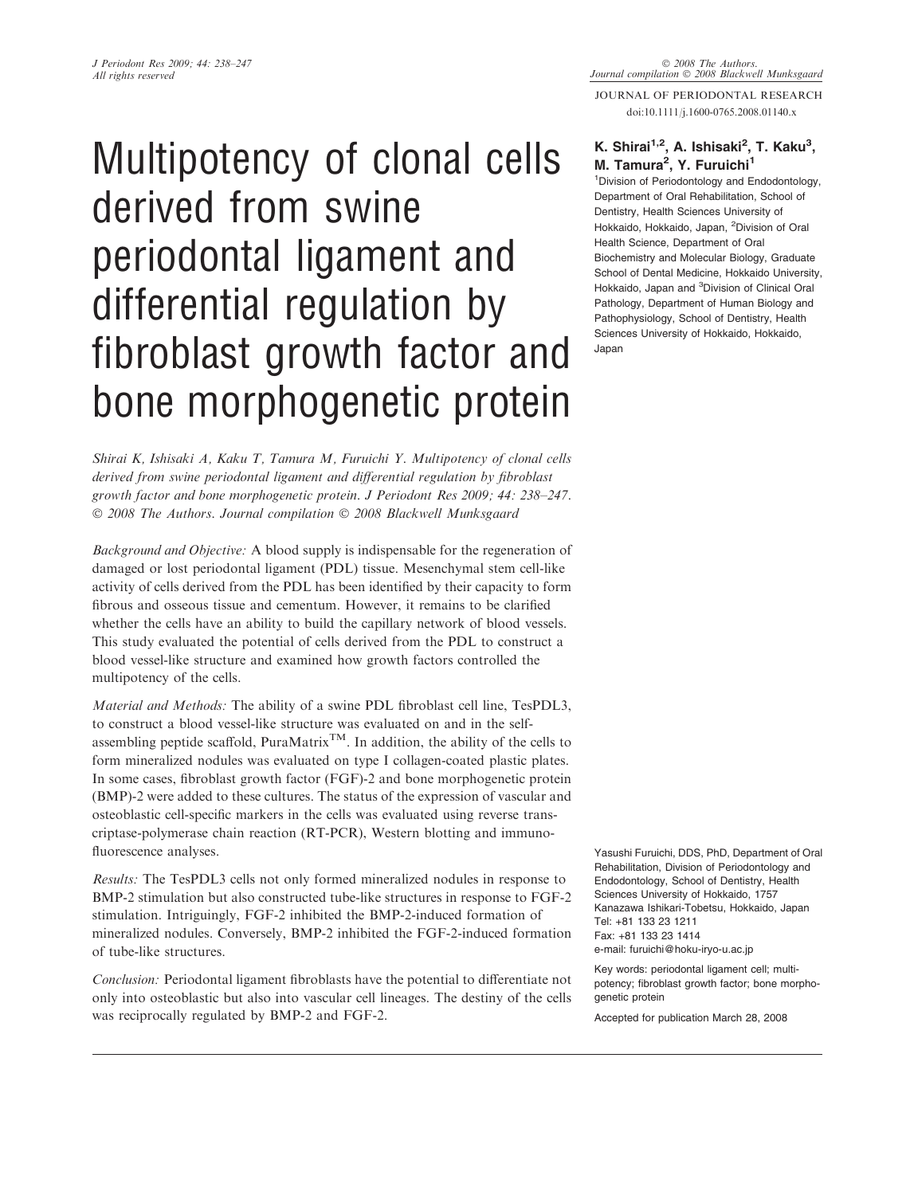# Multipotency of clonal cells derived from swine periodontal ligament and differential regulation by fibroblast growth factor and bone morphogenetic protein

Shirai K, Ishisaki A, Kaku T, Tamura M, Furuichi Y. Multipotency of clonal cells derived from swine periodontal ligament and differential regulation by fibroblast growth factor and bone morphogenetic protein. J Periodont Res 2009; 44: 238–247. © 2008 The Authors. Journal compilation © 2008 Blackwell Munksgaard

Background and Objective: A blood supply is indispensable for the regeneration of damaged or lost periodontal ligament (PDL) tissue. Mesenchymal stem cell-like activity of cells derived from the PDL has been identified by their capacity to form fibrous and osseous tissue and cementum. However, it remains to be clarified whether the cells have an ability to build the capillary network of blood vessels. This study evaluated the potential of cells derived from the PDL to construct a blood vessel-like structure and examined how growth factors controlled the multipotency of the cells.

Material and Methods: The ability of a swine PDL fibroblast cell line, TesPDL3, to construct a blood vessel-like structure was evaluated on and in the selfassembling peptide scaffold,  $PuraMatrix^{TM}$ . In addition, the ability of the cells to form mineralized nodules was evaluated on type I collagen-coated plastic plates. In some cases, fibroblast growth factor (FGF)-2 and bone morphogenetic protein (BMP)-2 were added to these cultures. The status of the expression of vascular and osteoblastic cell-specific markers in the cells was evaluated using reverse transcriptase-polymerase chain reaction (RT-PCR), Western blotting and immunofluorescence analyses.

Results: The TesPDL3 cells not only formed mineralized nodules in response to BMP-2 stimulation but also constructed tube-like structures in response to FGF-2 stimulation. Intriguingly, FGF-2 inhibited the BMP-2-induced formation of mineralized nodules. Conversely, BMP-2 inhibited the FGF-2-induced formation of tube-like structures.

Conclusion: Periodontal ligament fibroblasts have the potential to differentiate not only into osteoblastic but also into vascular cell lineages. The destiny of the cells was reciprocally regulated by BMP-2 and FGF-2.

Journal compilation © 2008 Blackwell Munksgaard JOURNAL OF PERIODONTAL RESEARCH

doi:10.1111/j.1600-0765.2008.01140.x

# K. Shirai<sup>1,2</sup>, A. Ishisaki<sup>2</sup>, T. Kaku<sup>3</sup>, M. Tamura<sup>2</sup>, Y. Furuichi<sup>1</sup>

1 Division of Periodontology and Endodontology, Department of Oral Rehabilitation, School of Dentistry, Health Sciences University of Hokkaido, Hokkaido, Japan, <sup>2</sup>Division of Oral Health Science, Department of Oral Biochemistry and Molecular Biology, Graduate School of Dental Medicine, Hokkaido University, Hokkaido, Japan and <sup>3</sup>Division of Clinical Oral Pathology, Department of Human Biology and Pathophysiology, School of Dentistry, Health Sciences University of Hokkaido, Hokkaido, Japan

Yasushi Furuichi, DDS, PhD, Department of Oral Rehabilitation, Division of Periodontology and Endodontology, School of Dentistry, Health Sciences University of Hokkaido, 1757 Kanazawa Ishikari-Tobetsu, Hokkaido, Japan Tel: +81 133 23 1211 Fax: +81 133 23 1414 e-mail: furuichi@hoku-iryo-u.ac.jp

Key words: periodontal ligament cell; multipotency; fibroblast growth factor; bone morphogenetic protein

Accepted for publication March 28, 2008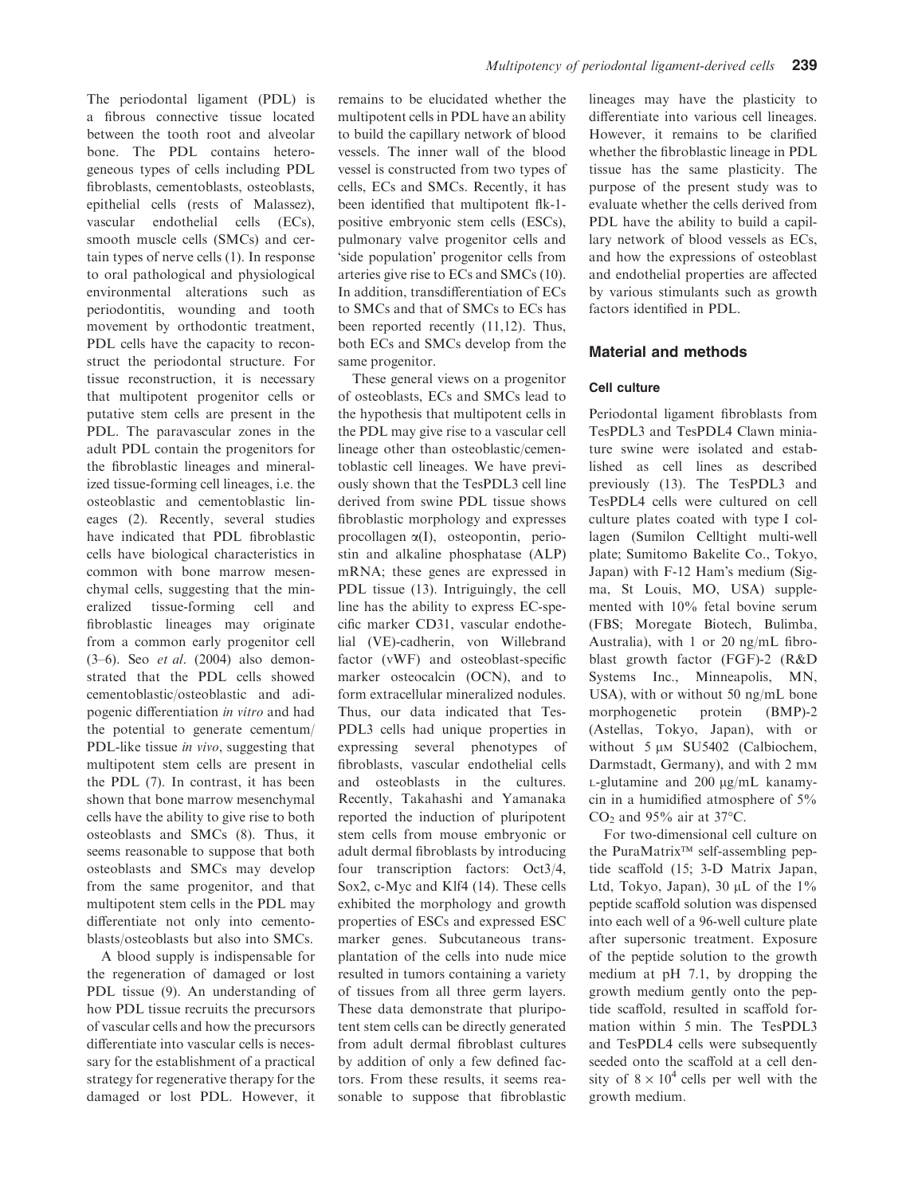The periodontal ligament (PDL) is a fibrous connective tissue located between the tooth root and alveolar bone. The PDL contains heterogeneous types of cells including PDL fibroblasts, cementoblasts, osteoblasts, epithelial cells (rests of Malassez), vascular endothelial cells (ECs), smooth muscle cells (SMCs) and certain types of nerve cells (1). In response to oral pathological and physiological environmental alterations such as periodontitis, wounding and tooth movement by orthodontic treatment, PDL cells have the capacity to reconstruct the periodontal structure. For tissue reconstruction, it is necessary that multipotent progenitor cells or putative stem cells are present in the PDL. The paravascular zones in the adult PDL contain the progenitors for the fibroblastic lineages and mineralized tissue-forming cell lineages, i.e. the osteoblastic and cementoblastic lineages (2). Recently, several studies have indicated that PDL fibroblastic cells have biological characteristics in common with bone marrow mesenchymal cells, suggesting that the mineralized tissue-forming cell and fibroblastic lineages may originate from a common early progenitor cell  $(3-6)$ . Seo et al.  $(2004)$  also demonstrated that the PDL cells showed cementoblastic/osteoblastic and adipogenic differentiation in vitro and had the potential to generate cementum/ PDL-like tissue in vivo, suggesting that multipotent stem cells are present in the PDL (7). In contrast, it has been shown that bone marrow mesenchymal cells have the ability to give rise to both osteoblasts and SMCs (8). Thus, it seems reasonable to suppose that both osteoblasts and SMCs may develop from the same progenitor, and that multipotent stem cells in the PDL may differentiate not only into cementoblasts/osteoblasts but also into SMCs.

A blood supply is indispensable for the regeneration of damaged or lost PDL tissue (9). An understanding of how PDL tissue recruits the precursors of vascular cells and how the precursors differentiate into vascular cells is necessary for the establishment of a practical strategy for regenerative therapy for the damaged or lost PDL. However, it remains to be elucidated whether the multipotent cells in PDL have an ability to build the capillary network of blood vessels. The inner wall of the blood vessel is constructed from two types of cells, ECs and SMCs. Recently, it has been identified that multipotent flk-1 positive embryonic stem cells (ESCs), pulmonary valve progenitor cells and 'side population' progenitor cells from arteries give rise to ECs and SMCs (10). In addition, transdifferentiation of ECs to SMCs and that of SMCs to ECs has been reported recently (11,12). Thus, both ECs and SMCs develop from the same progenitor.

These general views on a progenitor of osteoblasts, ECs and SMCs lead to the hypothesis that multipotent cells in the PDL may give rise to a vascular cell lineage other than osteoblastic/cementoblastic cell lineages. We have previously shown that the TesPDL3 cell line derived from swine PDL tissue shows fibroblastic morphology and expresses procollagen a(I), osteopontin, periostin and alkaline phosphatase (ALP) mRNA; these genes are expressed in PDL tissue (13). Intriguingly, the cell line has the ability to express EC-specific marker CD31, vascular endothelial (VE)-cadherin, von Willebrand factor (vWF) and osteoblast-specific marker osteocalcin (OCN), and to form extracellular mineralized nodules. Thus, our data indicated that Tes-PDL3 cells had unique properties in expressing several phenotypes of fibroblasts, vascular endothelial cells and osteoblasts in the cultures. Recently, Takahashi and Yamanaka reported the induction of pluripotent stem cells from mouse embryonic or adult dermal fibroblasts by introducing four transcription factors: Oct3/4, Sox2, c-Myc and Klf4 (14). These cells exhibited the morphology and growth properties of ESCs and expressed ESC marker genes. Subcutaneous transplantation of the cells into nude mice resulted in tumors containing a variety of tissues from all three germ layers. These data demonstrate that pluripotent stem cells can be directly generated from adult dermal fibroblast cultures by addition of only a few defined factors. From these results, it seems reasonable to suppose that fibroblastic

lineages may have the plasticity to differentiate into various cell lineages. However, it remains to be clarified whether the fibroblastic lineage in PDL tissue has the same plasticity. The purpose of the present study was to evaluate whether the cells derived from PDL have the ability to build a capillary network of blood vessels as ECs, and how the expressions of osteoblast and endothelial properties are affected by various stimulants such as growth factors identified in PDL.

#### Material and methods

#### Cell culture

Periodontal ligament fibroblasts from TesPDL3 and TesPDL4 Clawn miniature swine were isolated and established as cell lines as described previously (13). The TesPDL3 and TesPDL4 cells were cultured on cell culture plates coated with type I collagen (Sumilon Celltight multi-well plate; Sumitomo Bakelite Co., Tokyo, Japan) with F-12 Ham's medium (Sigma, St Louis, MO, USA) supplemented with 10% fetal bovine serum (FBS; Moregate Biotech, Bulimba, Australia), with 1 or 20 ng/mL fibroblast growth factor (FGF)-2 (R&D Systems Inc., Minneapolis, MN, USA), with or without 50 ng/mL bone morphogenetic protein (BMP)-2 (Astellas, Tokyo, Japan), with or without 5  $\mu$ M SU5402 (Calbiochem, Darmstadt, Germany), and with 2 mM  $L$ -glutamine and 200  $\mu$ g/mL kanamycin in a humidified atmosphere of 5% CO<sub>2</sub> and  $95\%$  air at  $37^{\circ}$ C.

For two-dimensional cell culture on the PuraMatrix<sup> $TM$ </sup> self-assembling peptide scaffold (15; 3-D Matrix Japan, Ltd, Tokyo, Japan),  $30 \mu L$  of the  $1\%$ peptide scaffold solution was dispensed into each well of a 96-well culture plate after supersonic treatment. Exposure of the peptide solution to the growth medium at pH 7.1, by dropping the growth medium gently onto the peptide scaffold, resulted in scaffold formation within 5 min. The TesPDL3 and TesPDL4 cells were subsequently seeded onto the scaffold at a cell density of  $8 \times 10^4$  cells per well with the growth medium.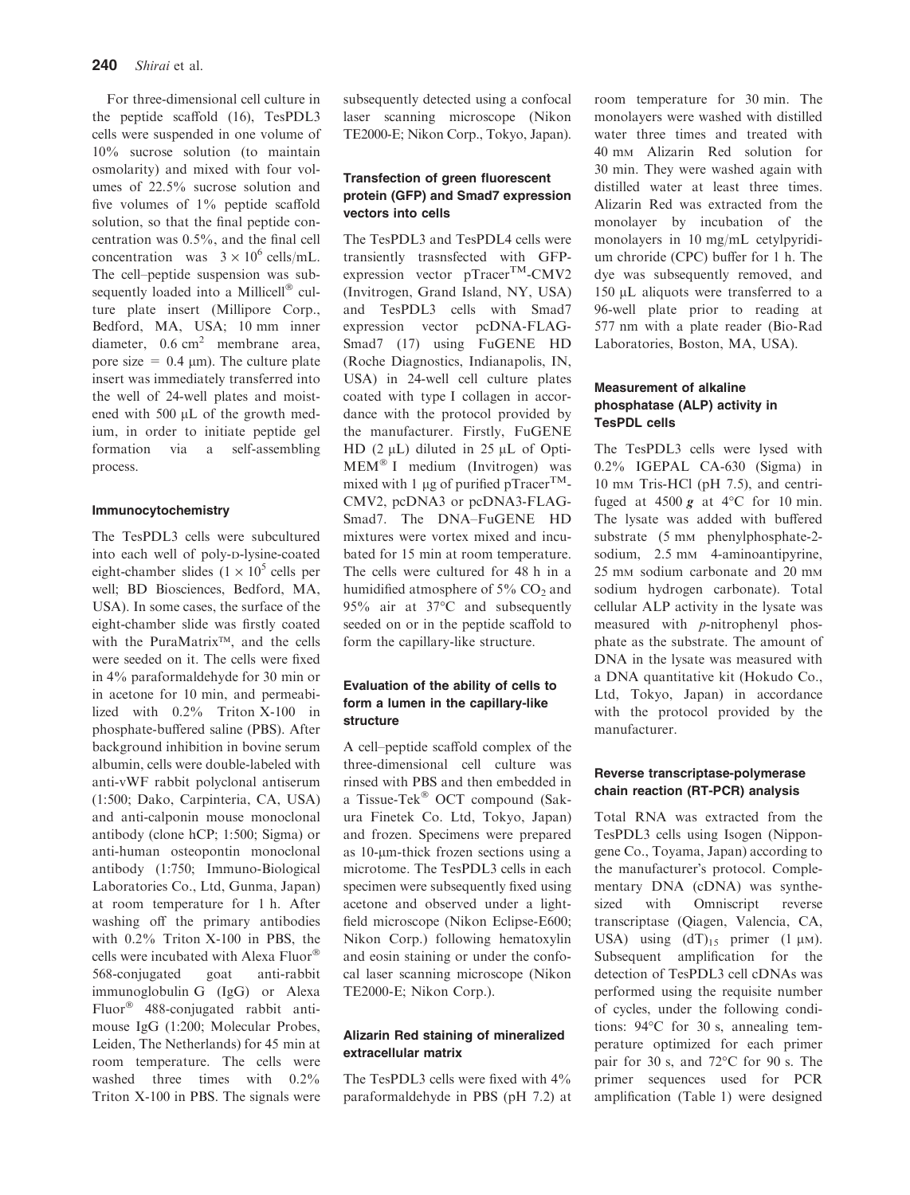For three-dimensional cell culture in the peptide scaffold (16), TesPDL3 cells were suspended in one volume of 10% sucrose solution (to maintain osmolarity) and mixed with four volumes of 22.5% sucrose solution and five volumes of 1% peptide scaffold solution, so that the final peptide concentration was 0.5%, and the final cell concentration was  $3 \times 10^6$  cells/mL. The cell–peptide suspension was subsequently loaded into a Millicell $^{\circledR}$  culture plate insert (Millipore Corp., Bedford, MA, USA; 10 mm inner diameter, 0.6 cm<sup>2</sup> membrane area, pore size  $= 0.4 \mu m$ ). The culture plate insert was immediately transferred into the well of 24-well plates and moistened with  $500 \mu L$  of the growth medium, in order to initiate peptide gel formation via a self-assembling process.

#### Immunocytochemistry

The TesPDL3 cells were subcultured into each well of poly-D-lysine-coated eight-chamber slides  $(1 \times 10^5 \text{ cells per})$ well; BD Biosciences, Bedford, MA, USA). In some cases, the surface of the eight-chamber slide was firstly coated with the PuraMatrix<sup> $TM$ </sup>, and the cells were seeded on it. The cells were fixed in 4% paraformaldehyde for 30 min or in acetone for 10 min, and permeabilized with 0.2% Triton X-100 in phosphate-buffered saline (PBS). After background inhibition in bovine serum albumin, cells were double-labeled with anti-vWF rabbit polyclonal antiserum (1:500; Dako, Carpinteria, CA, USA) and anti-calponin mouse monoclonal antibody (clone hCP; 1:500; Sigma) or anti-human osteopontin monoclonal antibody (1:750; Immuno-Biological Laboratories Co., Ltd, Gunma, Japan) at room temperature for 1 h. After washing off the primary antibodies with 0.2% Triton X-100 in PBS, the cells were incubated with Alexa Fluor 568-conjugated goat anti-rabbit immunoglobulin G (IgG) or Alexa Fluor<sup>®</sup> 488-conjugated rabbit antimouse IgG (1:200; Molecular Probes, Leiden, The Netherlands) for 45 min at room temperature. The cells were washed three times with 0.2% Triton X-100 in PBS. The signals were

subsequently detected using a confocal laser scanning microscope (Nikon TE2000-E; Nikon Corp., Tokyo, Japan).

## Transfection of green fluorescent protein (GFP) and Smad7 expression vectors into cells

The TesPDL3 and TesPDL4 cells were transiently trasnsfected with GFPexpression vector  $pTrace^{TM}$ -CMV2 (Invitrogen, Grand Island, NY, USA) and TesPDL3 cells with Smad7 expression vector pcDNA-FLAG-Smad7 (17) using FuGENE HD (Roche Diagnostics, Indianapolis, IN, USA) in 24-well cell culture plates coated with type I collagen in accordance with the protocol provided by the manufacturer. Firstly, FuGENE HD  $(2 \mu L)$  diluted in 25  $\mu L$  of Opti-MEM<sup>®</sup> I medium (Invitrogen) was mixed with 1  $\mu$ g of purified pTracer<sup>TM</sup>-CMV2, pcDNA3 or pcDNA3-FLAG-Smad7. The DNA–FuGENE HD mixtures were vortex mixed and incubated for 15 min at room temperature. The cells were cultured for 48 h in a humidified atmosphere of  $5\%$  CO<sub>2</sub> and 95% air at  $37^{\circ}$ C and subsequently seeded on or in the peptide scaffold to form the capillary-like structure.

# Evaluation of the ability of cells to form a lumen in the capillary-like structure

A cell–peptide scaffold complex of the three-dimensional cell culture was rinsed with PBS and then embedded in a Tissue-Tek<sup>®</sup> OCT compound (Sakura Finetek Co. Ltd, Tokyo, Japan) and frozen. Specimens were prepared as 10-um-thick frozen sections using a microtome. The TesPDL3 cells in each specimen were subsequently fixed using acetone and observed under a lightfield microscope (Nikon Eclipse-E600; Nikon Corp.) following hematoxylin and eosin staining or under the confocal laser scanning microscope (Nikon TE2000-E; Nikon Corp.).

# Alizarin Red staining of mineralized extracellular matrix

The TesPDL3 cells were fixed with 4% paraformaldehyde in PBS (pH 7.2) at room temperature for 30 min. The monolayers were washed with distilled water three times and treated with 40 mM Alizarin Red solution for 30 min. They were washed again with distilled water at least three times. Alizarin Red was extracted from the monolayer by incubation of the monolayers in 10 mg/mL cetylpyridium chroride (CPC) buffer for 1 h. The dye was subsequently removed, and 150 µL aliquots were transferred to a 96-well plate prior to reading at 577 nm with a plate reader (Bio-Rad Laboratories, Boston, MA, USA).

# Measurement of alkaline phosphatase (ALP) activity in TesPDL cells

The TesPDL3 cells were lysed with 0.2% IGEPAL CA-630 (Sigma) in 10 mM Tris-HCl (pH 7.5), and centrifuged at  $4500 \text{ g}$  at  $4^{\circ}$ C for 10 min. The lysate was added with buffered substrate (5 mm phenylphosphate-2sodium, 2.5 mm 4-aminoantipyrine, 25 mM sodium carbonate and 20 mM sodium hydrogen carbonate). Total cellular ALP activity in the lysate was measured with p-nitrophenyl phosphate as the substrate. The amount of DNA in the lysate was measured with a DNA quantitative kit (Hokudo Co., Ltd, Tokyo, Japan) in accordance with the protocol provided by the manufacturer.

## Reverse transcriptase-polymerase chain reaction (RT-PCR) analysis

Total RNA was extracted from the TesPDL3 cells using Isogen (Nippongene Co., Toyama, Japan) according to the manufacturer's protocol. Complementary DNA (cDNA) was synthesized with Omniscript reverse transcriptase (Qiagen, Valencia, CA, USA) using  $(dT)_{15}$  primer  $(1 \mu M)$ . Subsequent amplification for the detection of TesPDL3 cell cDNAs was performed using the requisite number of cycles, under the following conditions:  $94^{\circ}$ C for 30 s, annealing temperature optimized for each primer pair for 30 s, and  $72^{\circ}$ C for 90 s. The primer sequences used for PCR amplification (Table 1) were designed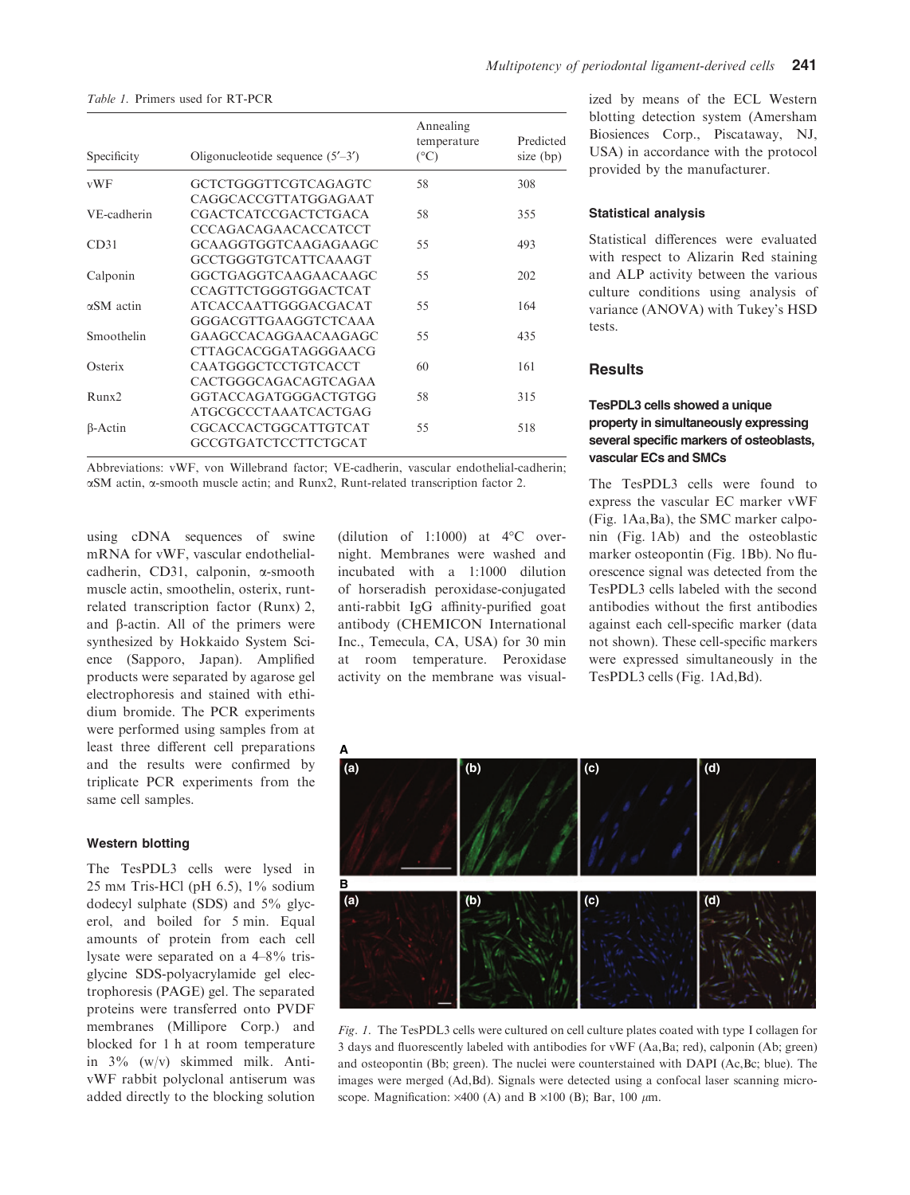Table 1. Primers used for RT-PCR

| Specificity       | Oligonucleotide sequence $(5'$ –3') | Annealing<br>temperature<br>$(^{\circ}C)$ | Predicted<br>size $(bp)$ |
|-------------------|-------------------------------------|-------------------------------------------|--------------------------|
| vWF               | GCTCTGGGTTCGTCAGAGTC                | 58                                        | 308                      |
|                   | CAGGCACCGTTATGGAGAAT                |                                           |                          |
| VE-cadherin       | <b>CGACTCATCCGACTCTGACA</b>         | 58                                        | 355                      |
|                   | <b>CCCAGACAGAACACCATCCT</b>         |                                           |                          |
| CD31              | GCAAGGTGGTCAAGAGAAGC                | 55                                        | 493                      |
|                   | GCCTGGGTGTCATTCAAAGT                |                                           |                          |
| Calponin          | GGCTGAGGTCAAGAACAAGC                | 55                                        | 202                      |
|                   | <b>CCAGTTCTGGGTGGACTCAT</b>         |                                           |                          |
| $\alpha$ SM actin | <b>ATCACCAATTGGGACGACAT</b>         | 55                                        | 164                      |
|                   | GGGACGTTGAAGGTCTCAAA                |                                           |                          |
| Smoothelin        | GAAGCCACAGGAACAAGAGC                | 55                                        | 435                      |
|                   | CTTAGCACGGATAGGGAACG                |                                           |                          |
| Osterix           | CAATGGGCTCCTGTCACCT                 | 60                                        | 161                      |
|                   | CACTGGGCAGACAGTCAGAA                |                                           |                          |
| Runx2             | GGTACCAGATGGGACTGTGG                | 58                                        | 315                      |
|                   | <b>ATGCGCCCTAAATCACTGAG</b>         |                                           |                          |
| $\beta$ -Actin    | <b>CGCACCACTGGCATTGTCAT</b>         | 55                                        | 518                      |
|                   | GCCGTGATCTCCTTCTGCAT                |                                           |                          |
|                   |                                     |                                           |                          |

Abbreviations: vWF, von Willebrand factor; VE-cadherin, vascular endothelial-cadherin; aSM actin, a-smooth muscle actin; and Runx2, Runt-related transcription factor 2.

using cDNA sequences of swine mRNA for vWF, vascular endothelialcadherin, CD31, calponin, a-smooth muscle actin, smoothelin, osterix, runtrelated transcription factor (Runx) 2, and  $\beta$ -actin. All of the primers were synthesized by Hokkaido System Science (Sapporo, Japan). Amplified products were separated by agarose gel electrophoresis and stained with ethidium bromide. The PCR experiments were performed using samples from at least three different cell preparations and the results were confirmed by triplicate PCR experiments from the same cell samples.

#### Western blotting

The TesPDL3 cells were lysed in 25 mM Tris-HCl (pH 6.5), 1% sodium dodecyl sulphate (SDS) and 5% glycerol, and boiled for 5 min. Equal amounts of protein from each cell lysate were separated on a 4–8% trisglycine SDS-polyacrylamide gel electrophoresis (PAGE) gel. The separated proteins were transferred onto PVDF membranes (Millipore Corp.) and blocked for 1 h at room temperature in 3% (w/v) skimmed milk. AntivWF rabbit polyclonal antiserum was added directly to the blocking solution (dilution of 1:1000) at  $4^{\circ}$ C overnight. Membranes were washed and incubated with a 1:1000 dilution of horseradish peroxidase-conjugated anti-rabbit IgG affinity-purified goat antibody (CHEMICON International Inc., Temecula, CA, USA) for 30 min at room temperature. Peroxidase activity on the membrane was visualized by means of the ECL Western blotting detection system (Amersham Biosiences Corp., Piscataway, NJ, USA) in accordance with the protocol provided by the manufacturer.

#### Statistical analysis

Statistical differences were evaluated with respect to Alizarin Red staining and ALP activity between the various culture conditions using analysis of variance (ANOVA) with Tukey's HSD tests.

#### **Results**

# TesPDL3 cells showed a unique property in simultaneously expressing several specific markers of osteoblasts, vascular ECs and SMCs

The TesPDL3 cells were found to express the vascular EC marker vWF (Fig. 1Aa,Ba), the SMC marker calponin (Fig. 1Ab) and the osteoblastic marker osteopontin (Fig. 1Bb). No fluorescence signal was detected from the TesPDL3 cells labeled with the second antibodies without the first antibodies against each cell-specific marker (data not shown). These cell-specific markers were expressed simultaneously in the TesPDL3 cells (Fig. 1Ad,Bd).



Fig. 1. The TesPDL3 cells were cultured on cell culture plates coated with type I collagen for 3 days and fluorescently labeled with antibodies for vWF (Aa,Ba; red), calponin (Ab; green) and osteopontin (Bb; green). The nuclei were counterstained with DAPI (Ac,Bc; blue). The images were merged (Ad,Bd). Signals were detected using a confocal laser scanning microscope. Magnification:  $\times$ 400 (A) and B  $\times$ 100 (B); Bar, 100  $\mu$ m.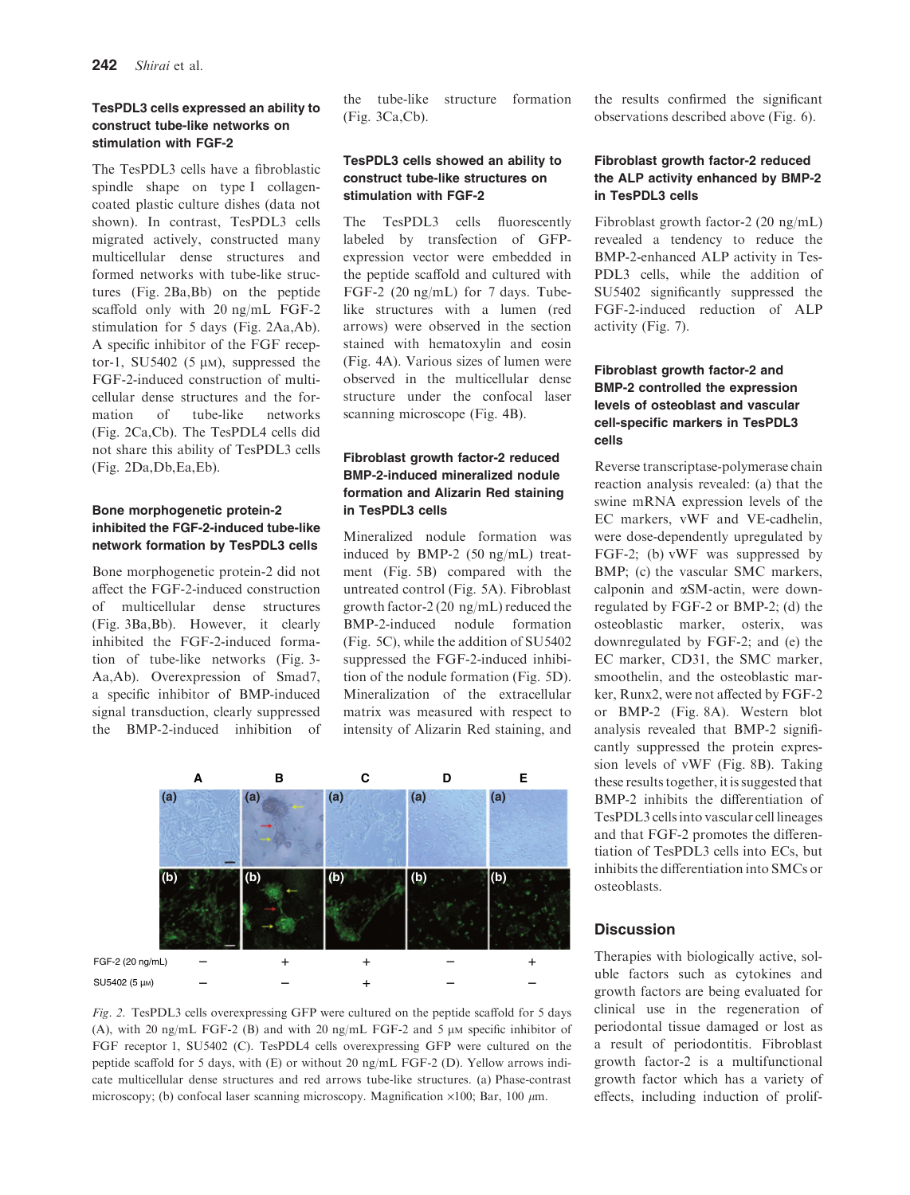#### TesPDL3 cells expressed an ability to construct tube-like networks on stimulation with FGF-2

The TesPDL3 cells have a fibroblastic spindle shape on type I collagencoated plastic culture dishes (data not shown). In contrast, TesPDL3 cells migrated actively, constructed many multicellular dense structures and formed networks with tube-like structures (Fig. 2Ba,Bb) on the peptide scaffold only with 20 ng/mL FGF-2 stimulation for 5 days (Fig. 2Aa,Ab). A specific inhibitor of the FGF receptor-1, SU5402 (5  $\mu$ M), suppressed the FGF-2-induced construction of multicellular dense structures and the formation of tube-like networks (Fig. 2Ca,Cb). The TesPDL4 cells did not share this ability of TesPDL3 cells (Fig. 2Da,Db,Ea,Eb).

#### Bone morphogenetic protein-2 inhibited the FGF-2-induced tube-like network formation by TesPDL3 cells

Bone morphogenetic protein-2 did not affect the FGF-2-induced construction of multicellular dense structures (Fig. 3Ba,Bb). However, it clearly inhibited the FGF-2-induced formation of tube-like networks (Fig. 3- Aa,Ab). Overexpression of Smad7, a specific inhibitor of BMP-induced signal transduction, clearly suppressed the BMP-2-induced inhibition of the tube-like structure formation (Fig. 3Ca,Cb).

# TesPDL3 cells showed an ability to construct tube-like structures on stimulation with FGF-2

The TesPDL3 cells fluorescently labeled by transfection of GFPexpression vector were embedded in the peptide scaffold and cultured with FGF-2 (20 ng/mL) for 7 days. Tubelike structures with a lumen (red arrows) were observed in the section stained with hematoxylin and eosin (Fig. 4A). Various sizes of lumen were observed in the multicellular dense structure under the confocal laser scanning microscope (Fig. 4B).

# Fibroblast growth factor-2 reduced BMP-2-induced mineralized nodule formation and Alizarin Red staining in TesPDL3 cells

Mineralized nodule formation was induced by BMP-2 (50 ng/mL) treatment (Fig. 5B) compared with the untreated control (Fig. 5A). Fibroblast growth factor-2 (20 ng/mL) reduced the BMP-2-induced nodule formation (Fig. 5C), while the addition of SU5402 suppressed the FGF-2-induced inhibition of the nodule formation (Fig. 5D). Mineralization of the extracellular matrix was measured with respect to intensity of Alizarin Red staining, and



Fig. 2. TesPDL3 cells overexpressing GFP were cultured on the peptide scaffold for 5 days (A), with 20 ng/mL FGF-2 (B) and with 20 ng/mL FGF-2 and 5  $\mu$ M specific inhibitor of FGF receptor 1, SU5402 (C). TesPDL4 cells overexpressing GFP were cultured on the peptide scaffold for 5 days, with (E) or without 20 ng/mL FGF-2 (D). Yellow arrows indicate multicellular dense structures and red arrows tube-like structures. (a) Phase-contrast microscopy; (b) confocal laser scanning microscopy. Magnification  $\times 100$ ; Bar, 100  $\mu$ m.

the results confirmed the significant observations described above (Fig. 6).

# Fibroblast growth factor-2 reduced the ALP activity enhanced by BMP-2 in TesPDL3 cells

Fibroblast growth factor-2 (20 ng/mL) revealed a tendency to reduce the BMP-2-enhanced ALP activity in Tes-PDL3 cells, while the addition of SU5402 significantly suppressed the FGF-2-induced reduction of ALP activity (Fig. 7).

## Fibroblast growth factor-2 and BMP-2 controlled the expression levels of osteoblast and vascular cell-specific markers in TesPDL3 cells

Reverse transcriptase-polymerase chain reaction analysis revealed: (a) that the swine mRNA expression levels of the EC markers, vWF and VE-cadhelin, were dose-dependently upregulated by FGF-2; (b) vWF was suppressed by BMP; (c) the vascular SMC markers, calponin and aSM-actin, were downregulated by FGF-2 or BMP-2; (d) the osteoblastic marker, osterix, was downregulated by FGF-2; and (e) the EC marker, CD31, the SMC marker, smoothelin, and the osteoblastic marker, Runx2, were not affected by FGF-2 or BMP-2 (Fig. 8A). Western blot analysis revealed that BMP-2 significantly suppressed the protein expression levels of vWF (Fig. 8B). Taking these results together, it is suggested that BMP-2 inhibits the differentiation of TesPDL3 cells into vascular cell lineages and that FGF-2 promotes the differentiation of TesPDL3 cells into ECs, but inhibits the differentiation into SMCs or osteoblasts.

# **Discussion**

Therapies with biologically active, soluble factors such as cytokines and growth factors are being evaluated for clinical use in the regeneration of periodontal tissue damaged or lost as a result of periodontitis. Fibroblast growth factor-2 is a multifunctional growth factor which has a variety of effects, including induction of prolif-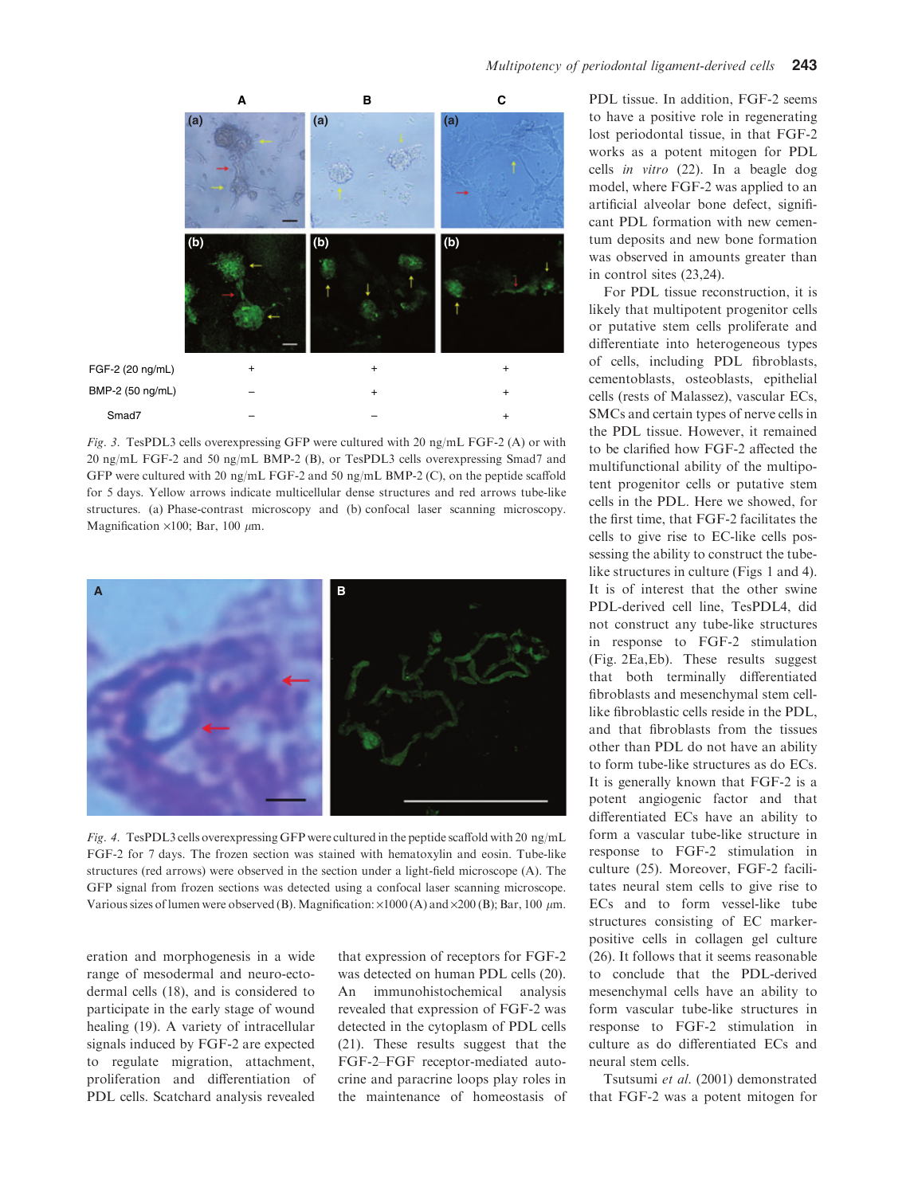

Fig. 3. TesPDL3 cells overexpressing GFP were cultured with 20 ng/mL FGF-2 (A) or with 20 ng/mL FGF-2 and 50 ng/mL BMP-2 (B), or TesPDL3 cells overexpressing Smad7 and GFP were cultured with 20 ng/mL FGF-2 and 50 ng/mL BMP-2 (C), on the peptide scaffold for 5 days. Yellow arrows indicate multicellular dense structures and red arrows tube-like structures. (a) Phase-contrast microscopy and (b) confocal laser scanning microscopy. Magnification  $\times$ 100; Bar, 100  $\mu$ m.



Fig. 4. TesPDL3 cells overexpressing GFP were cultured in the peptide scaffold with 20 ng/mL FGF-2 for 7 days. The frozen section was stained with hematoxylin and eosin. Tube-like structures (red arrows) were observed in the section under a light-field microscope (A). The GFP signal from frozen sections was detected using a confocal laser scanning microscope. Various sizes of lumen were observed (B). Magnification:  $\times 1000$  (A) and  $\times 200$  (B); Bar, 100  $\mu$ m.

eration and morphogenesis in a wide range of mesodermal and neuro-ectodermal cells (18), and is considered to participate in the early stage of wound healing (19). A variety of intracellular signals induced by FGF-2 are expected to regulate migration, attachment, proliferation and differentiation of PDL cells. Scatchard analysis revealed that expression of receptors for FGF-2 was detected on human PDL cells (20). An immunohistochemical analysis revealed that expression of FGF-2 was detected in the cytoplasm of PDL cells (21). These results suggest that the FGF-2–FGF receptor-mediated autocrine and paracrine loops play roles in the maintenance of homeostasis of PDL tissue. In addition, FGF-2 seems to have a positive role in regenerating lost periodontal tissue, in that FGF-2 works as a potent mitogen for PDL cells in vitro (22). In a beagle dog model, where FGF-2 was applied to an artificial alveolar bone defect, significant PDL formation with new cementum deposits and new bone formation was observed in amounts greater than in control sites (23,24).

For PDL tissue reconstruction, it is likely that multipotent progenitor cells or putative stem cells proliferate and differentiate into heterogeneous types of cells, including PDL fibroblasts, cementoblasts, osteoblasts, epithelial cells (rests of Malassez), vascular ECs, SMCs and certain types of nerve cells in the PDL tissue. However, it remained to be clarified how FGF-2 affected the multifunctional ability of the multipotent progenitor cells or putative stem cells in the PDL. Here we showed, for the first time, that FGF-2 facilitates the cells to give rise to EC-like cells possessing the ability to construct the tubelike structures in culture (Figs 1 and 4). It is of interest that the other swine PDL-derived cell line, TesPDL4, did not construct any tube-like structures in response to FGF-2 stimulation (Fig. 2Ea,Eb). These results suggest that both terminally differentiated fibroblasts and mesenchymal stem celllike fibroblastic cells reside in the PDL, and that fibroblasts from the tissues other than PDL do not have an ability to form tube-like structures as do ECs. It is generally known that FGF-2 is a potent angiogenic factor and that differentiated ECs have an ability to form a vascular tube-like structure in response to FGF-2 stimulation in culture (25). Moreover, FGF-2 facilitates neural stem cells to give rise to ECs and to form vessel-like tube structures consisting of EC markerpositive cells in collagen gel culture (26). It follows that it seems reasonable to conclude that the PDL-derived mesenchymal cells have an ability to form vascular tube-like structures in response to FGF-2 stimulation in culture as do differentiated ECs and neural stem cells.

Tsutsumi et al. (2001) demonstrated that FGF-2 was a potent mitogen for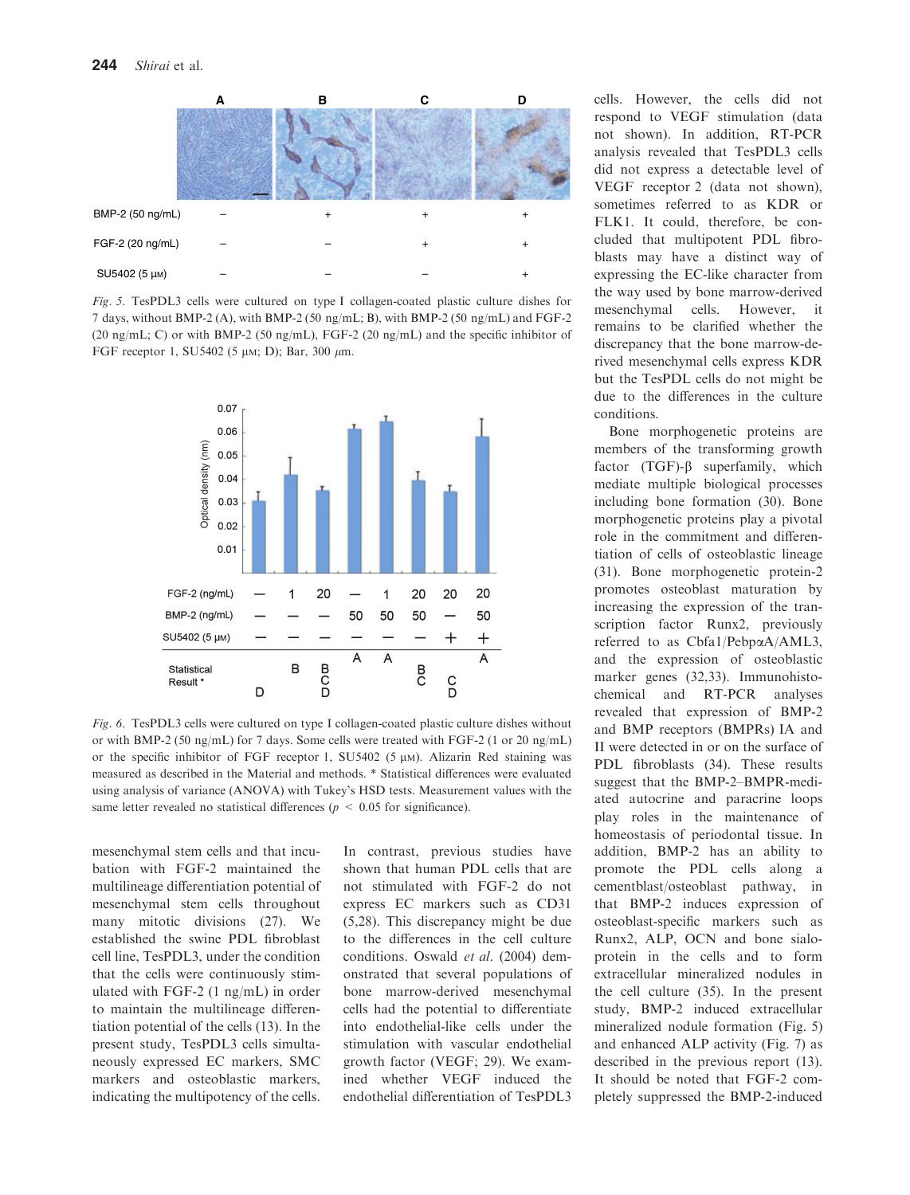

Fig. 5. TesPDL3 cells were cultured on type I collagen-coated plastic culture dishes for 7 days, without BMP-2 (A), with BMP-2 (50 ng/mL; B), with BMP-2 (50 ng/mL) and FGF-2 (20 ng/mL; C) or with BMP-2 (50 ng/mL), FGF-2 (20 ng/mL) and the specific inhibitor of FGF receptor 1, SU5402 (5  $\mu$ M; D); Bar, 300  $\mu$ m.



Fig. 6. TesPDL3 cells were cultured on type I collagen-coated plastic culture dishes without or with BMP-2 (50 ng/mL) for 7 days. Some cells were treated with FGF-2 (1 or 20 ng/mL) or the specific inhibitor of FGF receptor 1, SU5402 (5  $\mu$ M). Alizarin Red staining was measured as described in the Material and methods. \* Statistical differences were evaluated using analysis of variance (ANOVA) with Tukey's HSD tests. Measurement values with the same letter revealed no statistical differences ( $p \leq 0.05$  for significance).

mesenchymal stem cells and that incubation with FGF-2 maintained the multilineage differentiation potential of mesenchymal stem cells throughout many mitotic divisions (27). We established the swine PDL fibroblast cell line, TesPDL3, under the condition that the cells were continuously stimulated with FGF-2 (1 ng/mL) in order to maintain the multilineage differentiation potential of the cells (13). In the present study, TesPDL3 cells simultaneously expressed EC markers, SMC markers and osteoblastic markers, indicating the multipotency of the cells.

In contrast, previous studies have shown that human PDL cells that are not stimulated with FGF-2 do not express EC markers such as CD31 (5,28). This discrepancy might be due to the differences in the cell culture conditions. Oswald et al. (2004) demonstrated that several populations of bone marrow-derived mesenchymal cells had the potential to differentiate into endothelial-like cells under the stimulation with vascular endothelial growth factor (VEGF; 29). We examined whether VEGF induced the endothelial differentiation of TesPDL3

cells. However, the cells did not respond to VEGF stimulation (data not shown). In addition, RT-PCR analysis revealed that TesPDL3 cells did not express a detectable level of VEGF receptor 2 (data not shown), sometimes referred to as KDR or FLK1. It could, therefore, be concluded that multipotent PDL fibroblasts may have a distinct way of expressing the EC-like character from the way used by bone marrow-derived mesenchymal cells. However, it remains to be clarified whether the discrepancy that the bone marrow-derived mesenchymal cells express KDR but the TesPDL cells do not might be due to the differences in the culture conditions.

Bone morphogenetic proteins are members of the transforming growth factor  $(TGF)-\beta$  superfamily, which mediate multiple biological processes including bone formation (30). Bone morphogenetic proteins play a pivotal role in the commitment and differentiation of cells of osteoblastic lineage (31). Bone morphogenetic protein-2 promotes osteoblast maturation by increasing the expression of the transcription factor Runx2, previously referred to as Cbfa1/PebpaA/AML3, and the expression of osteoblastic marker genes (32,33). Immunohistochemical and RT-PCR analyses revealed that expression of BMP-2 and BMP receptors (BMPRs) IA and II were detected in or on the surface of PDL fibroblasts (34). These results suggest that the BMP-2–BMPR-mediated autocrine and paracrine loops play roles in the maintenance of homeostasis of periodontal tissue. In addition, BMP-2 has an ability to promote the PDL cells along a cementblast/osteoblast pathway, in that BMP-2 induces expression of osteoblast-specific markers such as Runx2, ALP, OCN and bone sialoprotein in the cells and to form extracellular mineralized nodules in the cell culture (35). In the present study, BMP-2 induced extracellular mineralized nodule formation (Fig. 5) and enhanced ALP activity (Fig. 7) as described in the previous report (13). It should be noted that FGF-2 completely suppressed the BMP-2-induced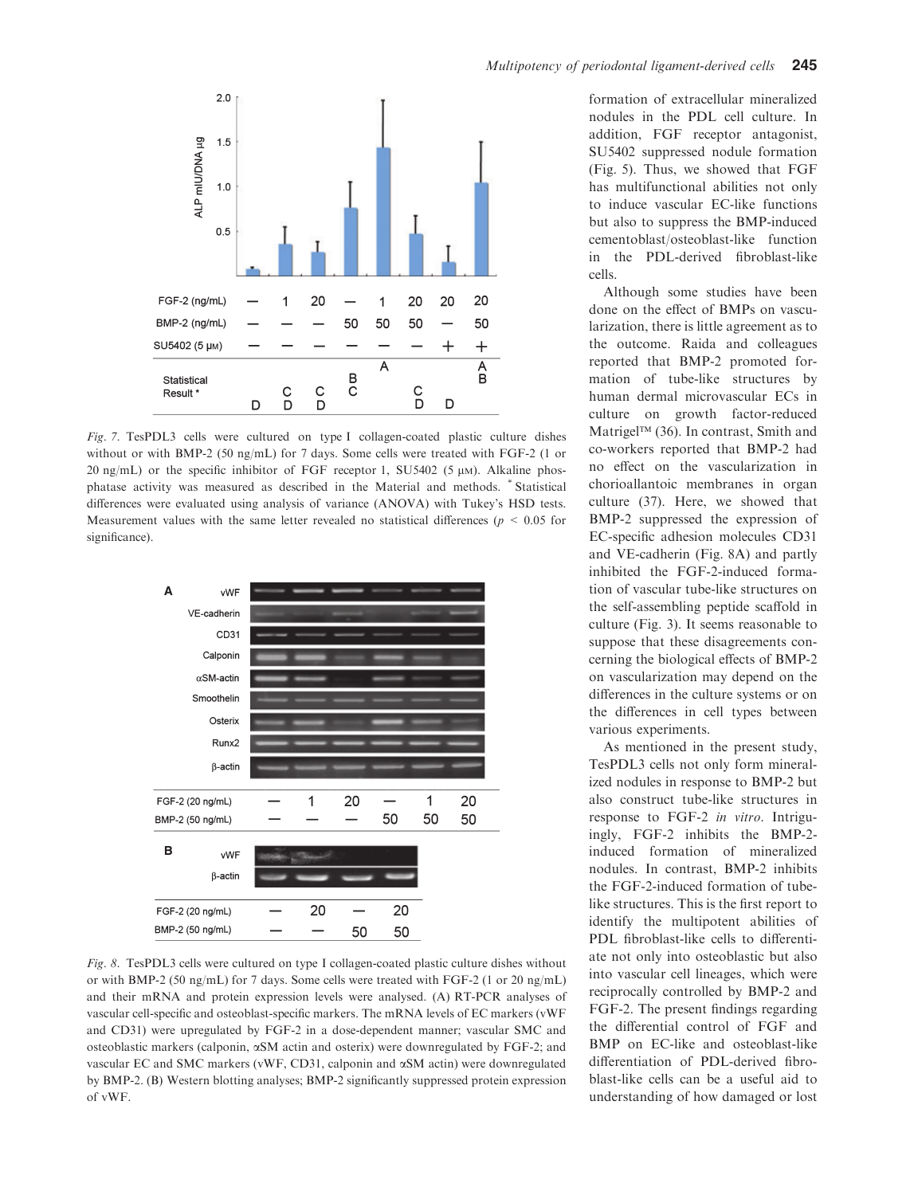

Fig. 7. TesPDL3 cells were cultured on type I collagen-coated plastic culture dishes without or with BMP-2 (50 ng/mL) for 7 days. Some cells were treated with FGF-2 (1 or 20 ng/mL) or the specific inhibitor of FGF receptor 1, SU5402 (5  $\mu$ M). Alkaline phosphatase activity was measured as described in the Material and methods. \* Statistical differences were evaluated using analysis of variance (ANOVA) with Tukey's HSD tests. Measurement values with the same letter revealed no statistical differences ( $p < 0.05$  for significance).



Fig. 8. TesPDL3 cells were cultured on type I collagen-coated plastic culture dishes without or with BMP-2 (50 ng/mL) for 7 days. Some cells were treated with FGF-2 (1 or 20 ng/mL) and their mRNA and protein expression levels were analysed. (A) RT-PCR analyses of vascular cell-specific and osteoblast-specific markers. The mRNA levels of EC markers (vWF and CD31) were upregulated by FGF-2 in a dose-dependent manner; vascular SMC and osteoblastic markers (calponin, aSM actin and osterix) were downregulated by FGF-2; and vascular EC and SMC markers (vWF, CD31, calponin and aSM actin) were downregulated by BMP-2. (B) Western blotting analyses; BMP-2 significantly suppressed protein expression of vWF.

formation of extracellular mineralized nodules in the PDL cell culture. In addition, FGF receptor antagonist, SU5402 suppressed nodule formation (Fig. 5). Thus, we showed that FGF has multifunctional abilities not only to induce vascular EC-like functions but also to suppress the BMP-induced cementoblast/osteoblast-like function in the PDL-derived fibroblast-like cells.

Although some studies have been done on the effect of BMPs on vascularization, there is little agreement as to the outcome. Raida and colleagues reported that BMP-2 promoted formation of tube-like structures by human dermal microvascular ECs in culture on growth factor-reduced Matrigel<sup>TM</sup> (36). In contrast, Smith and co-workers reported that BMP-2 had no effect on the vascularization in chorioallantoic membranes in organ culture (37). Here, we showed that BMP-2 suppressed the expression of EC-specific adhesion molecules CD31 and VE-cadherin (Fig. 8A) and partly inhibited the FGF-2-induced formation of vascular tube-like structures on the self-assembling peptide scaffold in culture (Fig. 3). It seems reasonable to suppose that these disagreements concerning the biological effects of BMP-2 on vascularization may depend on the differences in the culture systems or on the differences in cell types between various experiments.

As mentioned in the present study, TesPDL3 cells not only form mineralized nodules in response to BMP-2 but also construct tube-like structures in response to FGF-2 in vitro. Intriguingly, FGF-2 inhibits the BMP-2 induced formation of mineralized nodules. In contrast, BMP-2 inhibits the FGF-2-induced formation of tubelike structures. This is the first report to identify the multipotent abilities of PDL fibroblast-like cells to differentiate not only into osteoblastic but also into vascular cell lineages, which were reciprocally controlled by BMP-2 and FGF-2. The present findings regarding the differential control of FGF and BMP on EC-like and osteoblast-like differentiation of PDL-derived fibroblast-like cells can be a useful aid to understanding of how damaged or lost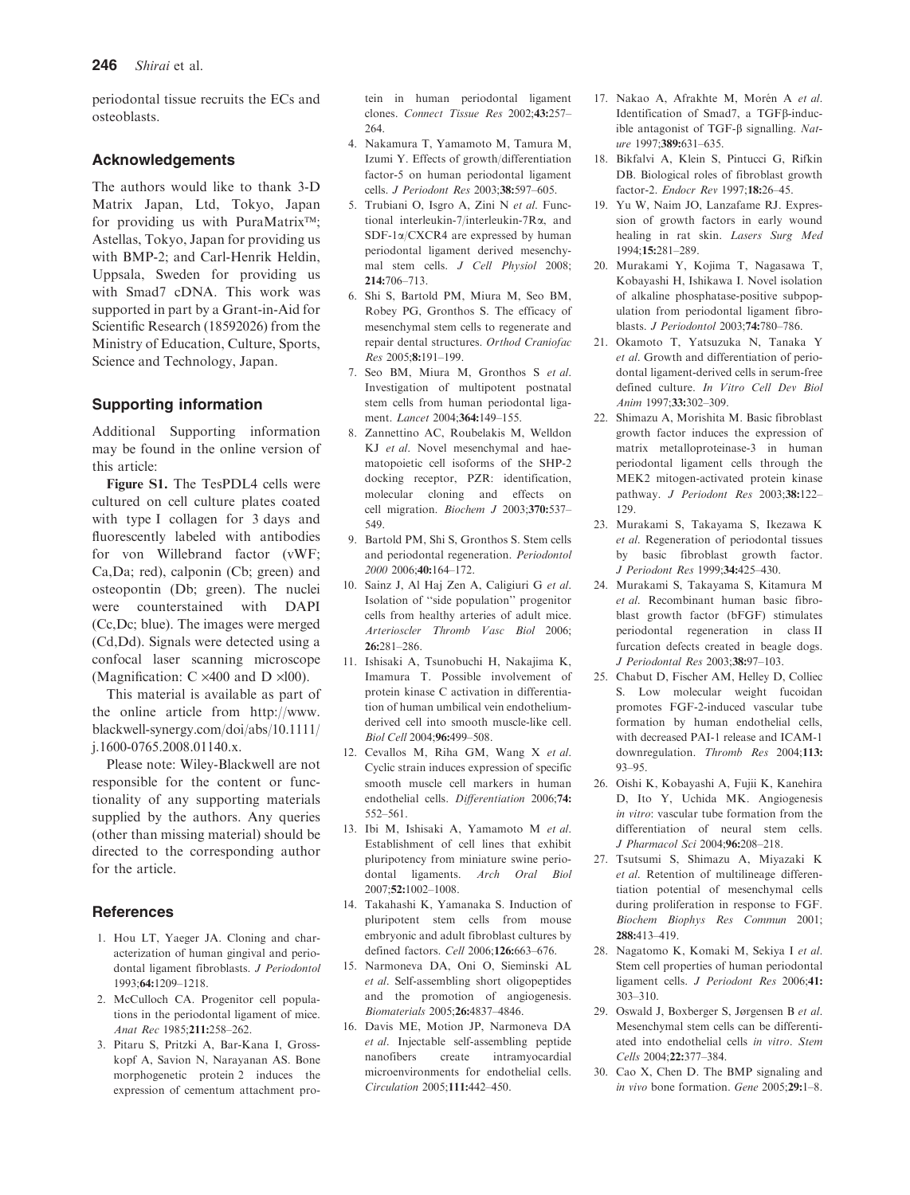periodontal tissue recruits the ECs and osteoblasts.

## Acknowledgements

The authors would like to thank 3-D Matrix Japan, Ltd, Tokyo, Japan for providing us with PuraMatrix<sup>™</sup>; Astellas, Tokyo, Japan for providing us with BMP-2; and Carl-Henrik Heldin, Uppsala, Sweden for providing us with Smad7 cDNA. This work was supported in part by a Grant-in-Aid for Scientific Research (18592026) from the Ministry of Education, Culture, Sports, Science and Technology, Japan.

## Supporting information

Additional Supporting information may be found in the online version of this article:

Figure S1. The TesPDL4 cells were cultured on cell culture plates coated with type I collagen for 3 days and fluorescently labeled with antibodies for von Willebrand factor (vWF; Ca,Da; red), calponin (Cb; green) and osteopontin (Db; green). The nuclei were counterstained with DAPI (Cc,Dc; blue). The images were merged (Cd,Dd). Signals were detected using a confocal laser scanning microscope (Magnification:  $C \times 400$  and  $D \times 100$ ).

This material is available as part of the online article from http://www. blackwell-synergy.com/doi/abs/10.1111/ j.1600-0765.2008.01140.x.

Please note: Wiley-Blackwell are not responsible for the content or functionality of any supporting materials supplied by the authors. Any queries (other than missing material) should be directed to the corresponding author for the article.

## **References**

- 1. Hou LT, Yaeger JA. Cloning and characterization of human gingival and periodontal ligament fibroblasts. J Periodontol 1993;64:1209–1218.
- 2. McCulloch CA. Progenitor cell populations in the periodontal ligament of mice. Anat Rec 1985;211:258–262.
- 3. Pitaru S, Pritzki A, Bar-Kana I, Grosskopf A, Savion N, Narayanan AS. Bone morphogenetic protein 2 induces the expression of cementum attachment pro-

tein in human periodontal ligament clones. Connect Tissue Res 2002;43:257– 264.

- 4. Nakamura T, Yamamoto M, Tamura M, Izumi Y. Effects of growth/differentiation factor-5 on human periodontal ligament cells. J Periodont Res 2003;38:597–605.
- 5. Trubiani O, Isgro A, Zini N et al. Functional interleukin-7/interleukin-7Ra, and SDF-1a/CXCR4 are expressed by human periodontal ligament derived mesenchymal stem cells. J Cell Physiol 2008;  $214.706 - 713$
- 6. Shi S, Bartold PM, Miura M, Seo BM, Robey PG, Gronthos S. The efficacy of mesenchymal stem cells to regenerate and repair dental structures. Orthod Craniofac Res 2005;8:191–199.
- 7. Seo BM, Miura M, Gronthos S et al. Investigation of multipotent postnatal stem cells from human periodontal ligament. Lancet 2004;364:149-155.
- 8. Zannettino AC, Roubelakis M, Welldon KJ et al. Novel mesenchymal and haematopoietic cell isoforms of the SHP-2 docking receptor, PZR: identification, molecular cloning and effects on cell migration. Biochem J 2003;370:537– 549.
- 9. Bartold PM, Shi S, Gronthos S. Stem cells and periodontal regeneration. Periodontol 2000 2006;40:164–172.
- 10. Sainz J, Al Haj Zen A, Caligiuri G et al. Isolation of ''side population'' progenitor cells from healthy arteries of adult mice. Arterioscler Thromb Vasc Biol 2006; 26:281–286.
- 11. Ishisaki A, Tsunobuchi H, Nakajima K, Imamura T. Possible involvement of protein kinase C activation in differentiation of human umbilical vein endotheliumderived cell into smooth muscle-like cell. Biol Cell 2004;96:499–508.
- 12. Cevallos M, Riha GM, Wang X et al. Cyclic strain induces expression of specific smooth muscle cell markers in human endothelial cells. Differentiation 2006;74: 552–561.
- 13. Ibi M, Ishisaki A, Yamamoto M et al. Establishment of cell lines that exhibit pluripotency from miniature swine periodontal ligaments. Arch Oral Biol 2007;52:1002–1008.
- 14. Takahashi K, Yamanaka S. Induction of pluripotent stem cells from mouse embryonic and adult fibroblast cultures by defined factors. Cell 2006;126:663–676.
- 15. Narmoneva DA, Oni O, Sieminski AL et al. Self-assembling short oligopeptides and the promotion of angiogenesis. Biomaterials 2005;26:4837–4846.
- 16. Davis ME, Motion JP, Narmoneva DA et al. Injectable self-assembling peptide nanofibers create intramyocardial microenvironments for endothelial cells. Circulation 2005;111:442–450.
- 17. Nakao A, Afrakhte M, Morén A et al. Identification of Smad7, a TGFβ-inducible antagonist of TGF- $\beta$  signalling. Nature 1997;389:631–635.
- 18. Bikfalvi A, Klein S, Pintucci G, Rifkin DB. Biological roles of fibroblast growth factor-2. Endocr Rev 1997;18:26–45.
- 19. Yu W, Naim JO, Lanzafame RJ. Expression of growth factors in early wound healing in rat skin. Lasers Surg Med 1994;15:281–289.
- 20. Murakami Y, Kojima T, Nagasawa T, Kobayashi H, Ishikawa I. Novel isolation of alkaline phosphatase-positive subpopulation from periodontal ligament fibroblasts. J Periodontol 2003;74:780–786.
- 21. Okamoto T, Yatsuzuka N, Tanaka Y et al. Growth and differentiation of periodontal ligament-derived cells in serum-free defined culture. In Vitro Cell Dev Biol Anim 1997;33:302–309.
- 22. Shimazu A, Morishita M. Basic fibroblast growth factor induces the expression of matrix metalloproteinase-3 in human periodontal ligament cells through the MEK2 mitogen-activated protein kinase pathway. J Periodont Res 2003;38:122– 129.
- 23. Murakami S, Takayama S, Ikezawa K et al. Regeneration of periodontal tissues by basic fibroblast growth factor. J Periodont Res 1999;34:425–430.
- 24. Murakami S, Takayama S, Kitamura M et al. Recombinant human basic fibroblast growth factor (bFGF) stimulates periodontal regeneration in class II furcation defects created in beagle dogs. J Periodontal Res 2003;38:97–103.
- 25. Chabut D, Fischer AM, Helley D, Colliec S. Low molecular weight fucoidan promotes FGF-2-induced vascular tube formation by human endothelial cells, with decreased PAI-1 release and ICAM-1 downregulation. Thromb Res 2004;113: 93–95.
- 26. Oishi K, Kobayashi A, Fujii K, Kanehira D, Ito Y, Uchida MK. Angiogenesis in vitro: vascular tube formation from the differentiation of neural stem cells. J Pharmacol Sci 2004;96:208–218.
- 27. Tsutsumi S, Shimazu A, Miyazaki K et al. Retention of multilineage differentiation potential of mesenchymal cells during proliferation in response to FGF. Biochem Biophys Res Commun 2001; 288:413–419.
- 28. Nagatomo K, Komaki M, Sekiya I et al. Stem cell properties of human periodontal ligament cells. J Periodont Res 2006;41: 303–310.
- 29. Oswald J, Boxberger S, Jørgensen B et al. Mesenchymal stem cells can be differentiated into endothelial cells in vitro. Stem Cells 2004;22:377–384.
- 30. Cao X, Chen D. The BMP signaling and in vivo bone formation. Gene 2005;29:1–8.